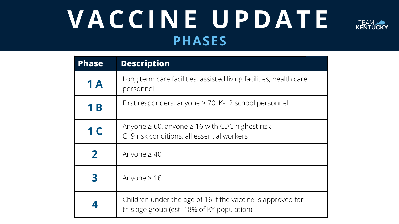### C C I N E U P D A T **VACCINE UPDATE PHASES**

| <b>Phase</b> | <b>Description</b>                                                                                        |
|--------------|-----------------------------------------------------------------------------------------------------------|
| <b>1 A</b>   | Long term care facilities, assisted living facilities, health care<br>personnel                           |
| <b>1 B</b>   | First responders, anyone $\geq$ 70, K-12 school personnel                                                 |
| <b>1 C</b>   | Anyone $\geq 60$ , anyone $\geq 16$ with CDC highest risk<br>C19 risk conditions, all essential workers   |
|              | Anyone $\geq 40$                                                                                          |
|              | Anyone $\geq 16$                                                                                          |
|              | Children under the age of 16 if the vaccine is approved for<br>this age group (est. 18% of KY population) |





| acilities, health care   |
|--------------------------|
| ol personnel             |
| iest risk                |
|                          |
|                          |
| he is approved for<br>ר) |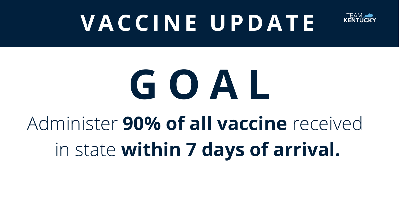# **G O A L** Administer **90% of all vaccine** received in state **within 7 days of arrival.**





## **VACCI N E UP D AT E**